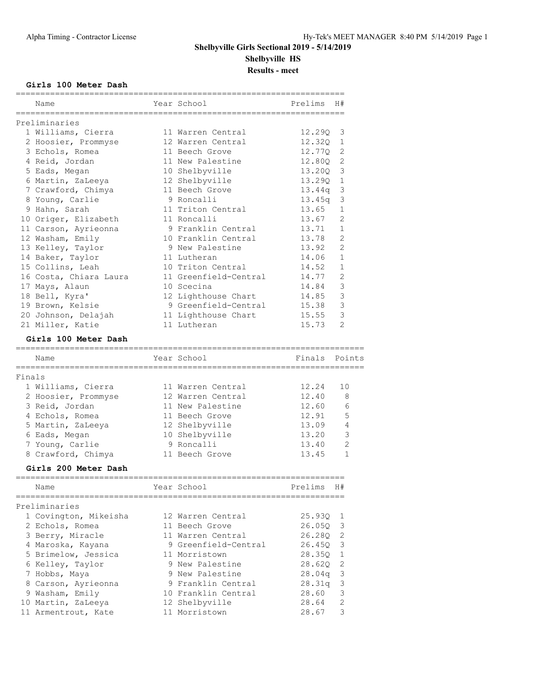### **Girls 100 Meter Dash**

|        | Name                   | Year School           | Prelims | H#             |
|--------|------------------------|-----------------------|---------|----------------|
|        | Preliminaries          |                       |         |                |
|        | 1 Williams, Cierra     | 11 Warren Central     | 12.290  | 3              |
|        | 2 Hoosier, Prommyse    | 12 Warren Central     | 12.32Q  | 1              |
|        | 3 Echols, Romea        | 11 Beech Grove        | 12,770  | 2              |
|        | 4 Reid, Jordan         | 11 New Palestine      | 12.80Q  | $\mathbf{2}$   |
|        | 5 Eads, Megan          | 10 Shelbyville        | 13.20Q  | 3              |
|        | 6 Martin, ZaLeeya      | 12 Shelbyville        | 13.290  | 1              |
|        | 7 Crawford, Chimya     | 11 Beech Grove        | 13.44q  | 3              |
|        | 8 Young, Carlie        | 9 Roncalli            | 13.45q  | 3              |
|        | 9 Hahn, Sarah          | 11 Triton Central     | 13.65   | $\mathbf{1}$   |
|        | 10 Origer, Elizabeth   | 11 Roncalli           | 13.67   | 2              |
|        | 11 Carson, Ayrieonna   | 9 Franklin Central    | 13.71   | $\mathbf{1}$   |
|        | 12 Washam, Emily       | 10 Franklin Central   | 13.78   | $\overline{2}$ |
|        | 13 Kelley, Taylor      | 9 New Palestine       | 13.92   | $\overline{2}$ |
|        | 14 Baker, Taylor       | 11 Lutheran           | 14.06   | $\mathbf{1}$   |
|        | 15 Collins, Leah       | 10 Triton Central     | 14.52   | $\mathbf{1}$   |
|        | 16 Costa, Chiara Laura | 11 Greenfield-Central | 14.77   | 2              |
|        | 17 Mays, Alaun         | 10 Scecina            | 14.84   | 3              |
|        | 18 Bell, Kyra'         | 12 Lighthouse Chart   | 14.85   | 3              |
|        | 19 Brown, Kelsie       | 9 Greenfield-Central  | 15.38   | 3              |
|        | 20 Johnson, Delajah    | 11 Lighthouse Chart   | 15.55   | 3              |
|        | 21 Miller, Katie       | 11 Lutheran           | 15.73   | $\mathfrak{D}$ |
|        | Girls 100 Meter Dash   |                       |         |                |
|        | Name                   | Year School           | Finals  | Points         |
|        |                        |                       |         |                |
| Finals |                        |                       |         |                |
|        | 1 Williams, Cierra     | 11 Warren Central     | 12.24   | 10             |
|        | 2 Hoosier, Prommyse    | 12 Warren Central     | 12.40   | 8              |
|        | 3 Reid, Jordan         | 11 New Palestine      | 12.60   | 6              |
|        | 4 Echols, Romea        | 11 Beech Grove        | 12.91   | 5              |
|        | 5 Martin, ZaLeeya      | 12 Shelbyville        | 13.09   | 4              |
|        | 6 Eads, Megan          | 10 Shelbyville        | 13.20   | 3              |
|        | 7 Young, Carlie        | 9 Roncalli            | 13.40   | $\mathfrak{D}$ |
|        | 8 Crawford, Chimya     | 11 Beech Grove        | 13.45   | 1              |
|        | Girls 200 Meter Dash   |                       |         |                |
|        | Name                   | Year School           | Prelims | H#             |
|        | Preliminaries          |                       |         |                |
|        | 1 Covington, Mikeisha  | 12 Warren Central     | 25.93Q  | 1              |
|        | 2 Echols, Romea        | 11 Beech Grove        | 26.050  | 3              |
|        | 3 Berry, Miracle       | 11 Warren Central     | 26.280  | $\mathbf{2}$   |
|        | 4 Maroska, Kayana      | 9 Greenfield-Central  | 26.45Q  | 3              |
|        | 5 Brimelow, Jessica    | 11 Morristown         | 28.35Q  | 1              |
|        | 6 Kelley, Taylor       | 9 New Palestine       | 28.62Q  | $\sqrt{2}$     |
|        | 7 Hobbs, Maya          | 9 New Palestine       | 28.04q  | $\mathsf 3$    |
|        | 8 Carson, Ayrieonna    | 9 Franklin Central    | 28.31q  | 3              |
|        | 9 Washam, Emily        | 10 Franklin Central   | 28.60   | 3              |
|        |                        |                       |         |                |
|        | 10 Martin, ZaLeeya     | 12 Shelbyville        | 28.64   | $\mathbf{2}$   |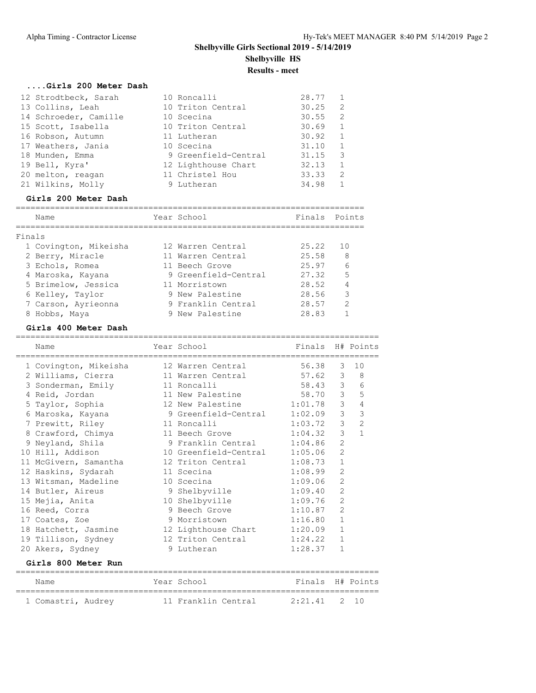=======================================================================

| Girls 200 Meter Dash  |                      |       |                            |
|-----------------------|----------------------|-------|----------------------------|
| 12 Strodtbeck, Sarah  | 10 Roncalli          | 28.77 | 1                          |
| 13 Collins, Leah      | 10 Triton Central    | 30.25 | 2                          |
| 14 Schroeder, Camille | 10 Scecina           | 30.55 | $\overline{\phantom{0}}^2$ |
| 15 Scott, Isabella    | 10 Triton Central    | 30.69 | $\overline{1}$             |
| 16 Robson, Autumn     | 11 Lutheran          | 30.92 | $\overline{1}$             |
| 17 Weathers, Jania    | 10 Scecina           | 31.10 | $\overline{1}$             |
| 18 Munden, Emma       | 9 Greenfield-Central | 31.15 | $\mathcal{E}$              |
| 19 Bell, Kyra'        | 12 Lighthouse Chart  | 32.13 | $\mathbf{1}$               |
| 20 melton, reagan     | 11 Christel Hou      | 33.33 | 2                          |
| 21 Wilkins, Molly     | 9 Lutheran           | 34.98 |                            |

### **Girls 200 Meter Dash**

|        | Name                  | Year School          | Finals Points |                |
|--------|-----------------------|----------------------|---------------|----------------|
| Finals |                       |                      |               |                |
|        | 1 Covington, Mikeisha | 12 Warren Central    | 25.22         | 1 O            |
|        | 2 Berry, Miracle      | 11 Warren Central    | 25.58         | 8              |
|        | 3 Echols, Romea       | 11 Beech Grove       | 25.97         | 6              |
|        | 4 Maroska, Kayana     | 9 Greenfield-Central | 27.32         | 5              |
|        | 5 Brimelow, Jessica   | 11 Morristown        | 28.52         | $\overline{4}$ |
|        | 6 Kelley, Taylor      | 9 New Palestine      | 28.56         | 3              |
|        | 7 Carson, Ayrieonna   | 9 Franklin Central   | 28.57         | $\mathcal{L}$  |
|        | 8 Hobbs, Maya         | 9 New Palestine      | 28.83         |                |

### **Girls 400 Meter Dash**

| Name                                           | Year School<br>------------------------------------ | Finals H# Points |                |                |
|------------------------------------------------|-----------------------------------------------------|------------------|----------------|----------------|
| 1 Covington, Mikeisha                          | 12 Warren Central                                   | 56.38            | 3              | 10             |
| 2 Williams, Cierra                             | 11 Warren Central 57.62 3                           |                  |                | 8              |
| 3 Sonderman, Emily                             | 11 Roncalli                                         | 58.43 3          |                | 6              |
| 4 Reid, Jordan                                 | 11 New Palestine                                    | 58.70            | $\mathcal{E}$  | 5              |
| 5 Taylor, Sophia                               | 12 New Palestine 1:01.78                            |                  | $\mathcal{E}$  | $\overline{4}$ |
| 6 Maroska, Kayana                              | 9 Greenfield-Central 1:02.09                        |                  | $\mathcal{S}$  | $\mathbf{3}$   |
| 7 Prewitt, Riley                               | 11 Roncalli                                         | 1:03.72          | $\mathcal{E}$  | $\overline{c}$ |
| 8 Crawford, Chimya                             | 11 Beech Grove                                      | 1:04.32          | 3              | $\mathbf{1}$   |
| 9 Neyland, Shila                               | 9 Franklin Central 1:04.86                          |                  | $\overline{2}$ |                |
| 10 Hill, Addison                               | 10 Greenfield-Central 1:05.06                       |                  | $\overline{2}$ |                |
| 11 McGivern, Samantha                          | 12 Triton Central 1:08.73                           |                  | $\mathbf{1}$   |                |
| 12 Haskins, Sydarah                            | 11 Scecina                                          | 1:08.99          | $\overline{2}$ |                |
| 13 Witsman, Madeline                           | 10 Scecina                                          | 1:09.06          | $\overline{2}$ |                |
| 14 Butler, Aireus                              | 9 Shelbyville                                       | 1:09.40          | $\overline{2}$ |                |
| 15 Mejia, Anita                                | 10 Shelbyville                                      | 1:09.76          | $\overline{2}$ |                |
| 16 Reed, Corra                                 | 9 Beech Grove                                       | 1:10.87          | $\overline{2}$ |                |
| 17 Coates, Zoe                                 | 9 Morristown                                        | 1:16.80          | $\mathbf{1}$   |                |
| 18 Hatchett, Jasmine                           | 12 Lighthouse Chart 1:20.09                         |                  | $\mathbf{1}$   |                |
| 19 Tillison, Sydney                            | 12 Triton Central                                   | 1:24.22          | $\mathbf{1}$   |                |
| 20 Akers, Sydney                               | 9 Lutheran                                          | 1:28.37          | $\mathbf{1}$   |                |
| Girls 800 Meter Run                            | ---------------------------                         |                  |                |                |
| Name                                           | Year School                                         | Finals H# Points |                |                |
| 1 Comastri, Audrey 11 Franklin Central 2:21.41 |                                                     |                  |                | $2 \quad 10$   |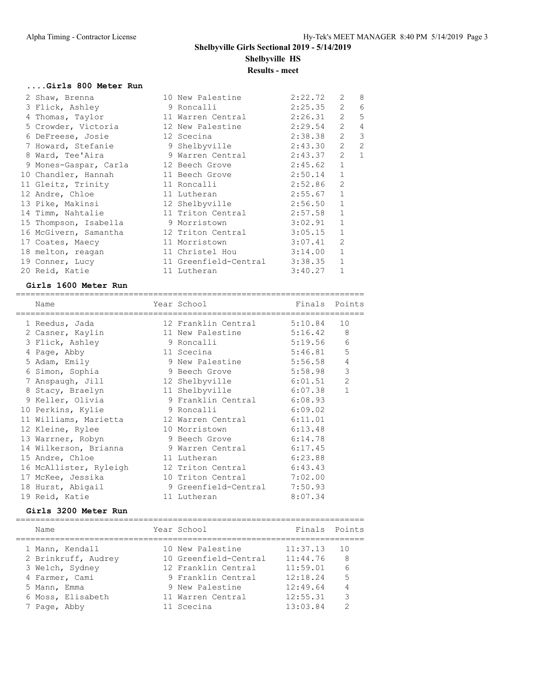=======================================================================

## **....Girls 800 Meter Run**

| 2 Shaw, Brenna                       | 10 New Palestine      | 2:22.72 | 2              | 8            |
|--------------------------------------|-----------------------|---------|----------------|--------------|
| 3 Flick, Ashley                      | 9 Roncalli            | 2:25.35 | $\overline{2}$ | 6            |
| 4 Thomas, Taylor                     | 11 Warren Central     | 2:26.31 | 2              | 5            |
| 5 Crowder, Victoria                  | 12 New Palestine      | 2:29.54 | 2              | 4            |
| 6 DeFreese, Josie                    | 12 Scecina            | 2:38.38 | 2              | 3            |
| 7 Howard, Stefanie                   | 9 Shelbyville         | 2:43.30 | 2              | 2            |
| 8 Ward, Tee'Aira                     | 9 Warren Central      | 2:43.37 | $\overline{2}$ | $\mathbf{1}$ |
| 9 Mones-Gaspar, Carla 12 Beech Grove |                       | 2:45.62 | $\mathbf{1}$   |              |
| 10 Chandler, Hannah                  | 11 Beech Grove        | 2:50.14 | $\mathbf{1}$   |              |
| 11 Gleitz, Trinity                   | 11 Roncalli           | 2:52.86 | $\overline{2}$ |              |
| 12 Andre, Chloe                      | 11 Lutheran           | 2:55.67 | $\mathbf{1}$   |              |
| 13 Pike, Makinsi                     | 12 Shelbyville        | 2:56.50 | $\mathbf{1}$   |              |
| 14 Timm, Nahtalie 11 Triton Central  |                       | 2:57.58 | $\mathbf{1}$   |              |
| 15 Thompson, Isabella                | 9 Morristown          | 3:02.91 | $\mathbf{1}$   |              |
| 16 McGivern, Samantha                | 12 Triton Central     | 3:05.15 | $\mathbf{1}$   |              |
| 17 Coates, Maecy                     | 11 Morristown         | 3:07.41 | $\overline{2}$ |              |
| 18 melton, reagan                    | 11 Christel Hou       | 3:14.00 | $\mathbf{1}$   |              |
| 19 Conner, Lucy                      | 11 Greenfield-Central | 3:38.35 | $\mathbf{1}$   |              |
| 20 Reid, Katie                       | 11 Lutheran           | 3:40.27 | $\mathbf{1}$   |              |

### **Girls 1600 Meter Run**

| Name                                                        | Year School Tinals Points    |         |                |
|-------------------------------------------------------------|------------------------------|---------|----------------|
| 1 Reedus, Jada                                              | 12 Franklin Central 5:10.84  |         | 10             |
| 2 Casner, Kaylin                                            | 11 New Palestine 5:16.42     |         | 8              |
| 3 Flick, Ashley                                             | 9 Roncalli                   | 5:19.56 | $\sqrt{6}$     |
| 4 Page, Abby 11 Scecina 5:46.81                             |                              |         | 5              |
| 5 Adam, Emily                                               | 9 New Palestine 5:56.58      |         | $\overline{4}$ |
| 6 Simon, Sophia                                             | 9 Beech Grove                | 5:58.98 | $\mathsf 3$    |
| 7 Anspaugh, Jill                                            | 12 Shelbyville 6:01.51       |         | $\mathbf{2}$   |
| 8 Stacy, Braelyn 11 Shelbyville 6:07.38                     |                              |         | $\mathbf{1}$   |
| 9 Keller, Olivia           9 Franklin Central       6:08.93 |                              |         |                |
| 10 Perkins, Kylie                                           | 9 Roncalli                   | 6:09.02 |                |
| 11 Williams, Marietta 12 Warren Central 6:11.01             |                              |         |                |
| 12 Kleine, Rylee 10 Morristown 6:13.48                      |                              |         |                |
| 13 Warrner, Robyn 9 Beech Grove 6:14.78                     |                              |         |                |
| 14 Wilkerson, Brianna (1988) 9 Warren Central (17.45)       |                              |         |                |
| 15 Andre, Chloe                                             | 11 Lutheran                  | 6:23.88 |                |
| 16 McAllister, Ryleigh 12 Triton Central 6:43.43            |                              |         |                |
|                                                             |                              |         |                |
| 18 Hurst, Abigail                                           | 9 Greenfield-Central 7:50.93 |         |                |
| 19 Reid, Katie                                              | 11 Lutheran                  | 8:07.34 |                |

### **Girls 3200 Meter Run**

| Name                | Year School           | Finals Points |               |
|---------------------|-----------------------|---------------|---------------|
| 1 Mann, Kendall     | 10 New Palestine      | 11:37.13      | 10            |
| 2 Brinkruff, Audrey | 10 Greenfield-Central | 11:44.76      | 8             |
| 3 Welch, Sydney     | 12 Franklin Central   | 11:59.01      | 6             |
| 4 Farmer, Cami      | 9 Franklin Central    | 12:18.24      | 5             |
| 5 Mann, Emma        | 9 New Palestine       | 12:49.64      |               |
| 6 Moss, Elisabeth   | 11 Warren Central     | 12:55.31      | 3             |
| 7 Page, Abby        | 11 Scecina            | 13:03.84      | $\mathcal{D}$ |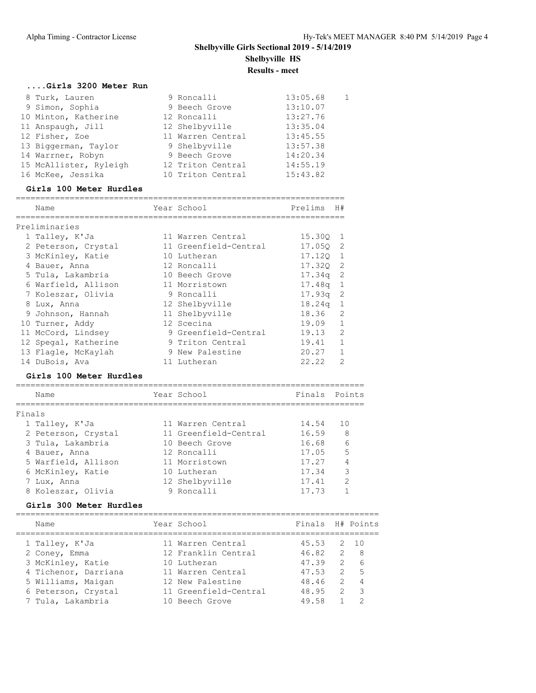| Girls 3200 Meter Run   |                   |          |    |
|------------------------|-------------------|----------|----|
| 8 Turk, Lauren         | 9 Roncalli        | 13:05.68 | -1 |
| 9 Simon, Sophia        | 9 Beech Grove     | 13:10.07 |    |
| 10 Minton, Katherine   | 12 Roncalli       | 13:27.76 |    |
| 11 Anspaugh, Jill      | 12 Shelbyville    | 13:35.04 |    |
| 12 Fisher, Zoe         | 11 Warren Central | 13:45.55 |    |
| 13 Biggerman, Taylor   | 9 Shelbyville     | 13:57.38 |    |
| 14 Warrner, Robyn      | 9 Beech Grove     | 14:20.34 |    |
| 15 McAllister, Ryleigh | 12 Triton Central | 14:55.19 |    |
| 16 McKee, Jessika      | 10 Triton Central | 15:43.82 |    |

#### **Girls 100 Meter Hurdles**

|        | Name                    | ==============================<br>Year School | Prelims   | H#             |
|--------|-------------------------|-----------------------------------------------|-----------|----------------|
|        | Preliminaries           |                                               |           |                |
|        | 1 Talley, K'Ja          | 11 Warren Central                             | 15.300    | 1              |
|        | 2 Peterson, Crystal     | 11 Greenfield-Central                         | 17.050    | 2              |
|        | 3 McKinley, Katie       | 10 Lutheran                                   | 17.120    | $\mathbf{1}$   |
|        | 4 Bauer, Anna           | 12 Roncalli                                   | 17.320    | 2              |
|        | 5 Tula, Lakambria       | 10 Beech Grove                                | 17.34a    | 2              |
|        | 6 Warfield, Allison     | 11 Morristown                                 | 17.48a    | 1              |
|        | 7 Koleszar, Olivia      | 9 Roncalli                                    | 17.93a    | 2              |
|        | 8 Lux, Anna             | 12 Shelbyville                                | 18.24q    | $\mathbf{1}$   |
|        | 9 Johnson, Hannah       | 11 Shelbyville                                | 18.36     | 2              |
|        | 10 Turner, Addy         | 12 Scecina                                    | 19.09     | $\mathbf{1}$   |
|        | 11 McCord, Lindsey      | 9 Greenfield-Central                          | 19.13     | $\overline{2}$ |
|        | 12 Spegal, Katherine    | 9 Triton Central                              | 19.41     | $\mathbf{1}$   |
|        | 13 Flaqle, McKaylah     | 9 New Palestine                               | 20.27     | $\mathbf{1}$   |
|        | 14 DuBois, Ava          | 11 Lutheran                                   | 22.22     | $\overline{2}$ |
|        | Girls 100 Meter Hurdles |                                               |           |                |
|        | Name                    | :======================<br>Year School        | Finals    | Points         |
| Finals |                         |                                               |           |                |
|        | 1 Talley, K'Ja          | 11 Warren Central 14.54                       |           | 10             |
|        | 2 Peterson, Crystal     | 11 Greenfield-Central                         | 16.59 8   |                |
|        | 3 Tula, Lakambria       | 10 Beech Grove                                | $16.68$ 6 |                |
|        | 4 Bauer, Anna           | 12 Roncalli                                   | 17.05 5   |                |
|        | 5 Warfield, Allison     | 11 Morristown                                 | 17.27     | $\overline{4}$ |
|        | 6 McKinley, Katie       | 10 Lutheran                                   | 17.34     | 3              |

### **Girls 300 Meter Hurdles**

| Name                 | Year School           | Finals H# Points |                |                         |
|----------------------|-----------------------|------------------|----------------|-------------------------|
| 1 Talley, K'Ja       | 11 Warren Central     | 45.53            |                | 2, 10                   |
| 2 Coney, Emma        | 12 Franklin Central   | 46.82            | $\overline{2}$ | - 8                     |
| 3 McKinley, Katie    | 10 Lutheran           | 47.39            |                | 26                      |
| 4 Tichenor, Darriana | 11 Warren Central     | 47.53            | 2              | $5^{\circ}$             |
| 5 Williams, Maigan   | 12 New Palestine      | 48.46            | $\overline{2}$ | $\overline{4}$          |
| 6 Peterson, Crystal  | 11 Greenfield-Central | 48.95            | $\mathcal{L}$  | $\overline{\mathbf{3}}$ |
| 7 Tula, Lakambria    | 10 Beech Grove        | 49.58            |                | っ                       |
|                      |                       |                  |                |                         |

 7 Lux, Anna 12 Shelbyville 17.41 2 8 Koleszar, Olivia 9 Roncalli 17.73 1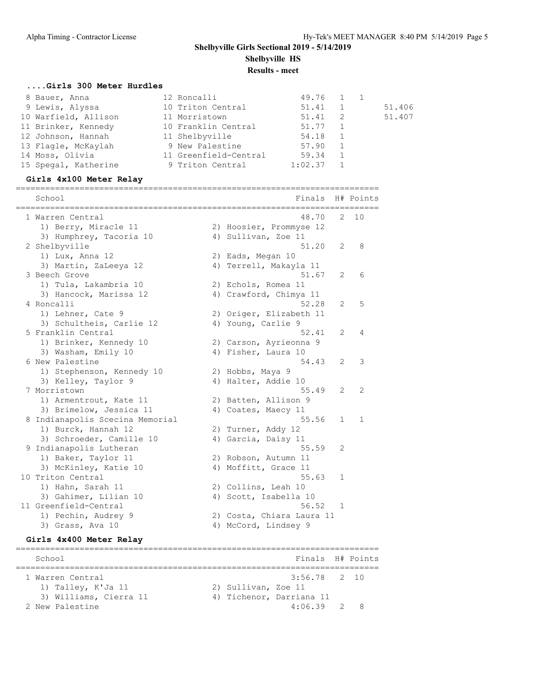**Results - meet**

### **....Girls 300 Meter Hurdles**

|                                                                                                                                                                         | 51.41                                                                                                                                                      |                                  | 51.406    |
|-------------------------------------------------------------------------------------------------------------------------------------------------------------------------|------------------------------------------------------------------------------------------------------------------------------------------------------------|----------------------------------|-----------|
|                                                                                                                                                                         | 51.41                                                                                                                                                      |                                  | 51.407    |
|                                                                                                                                                                         | 51.77                                                                                                                                                      |                                  |           |
|                                                                                                                                                                         | 54.18                                                                                                                                                      |                                  |           |
|                                                                                                                                                                         | 57.90                                                                                                                                                      |                                  |           |
|                                                                                                                                                                         | 59.34                                                                                                                                                      |                                  |           |
|                                                                                                                                                                         | 1:02.37                                                                                                                                                    |                                  |           |
| 8 Bauer, Anna<br>9 Lewis, Alyssa<br>10 Warfield, Allison<br>11 Brinker, Kennedy<br>12 Johnson, Hannah<br>13 Flagle, McKaylah<br>14 Moss, Olivia<br>15 Spegal, Katherine | 12 Roncalli<br>10 Triton Central<br>11 Morristown<br>10 Franklin Central<br>11 Shelbyville<br>9 New Palestine<br>11 Greenfield-Central<br>9 Triton Central | $\overline{1}$<br>$\overline{2}$ | 49.76 1 1 |

### **Girls 4x100 Meter Relay**

========================================================================== School **Finals** H# Points ========================================================================== 1 Warren Central 48.70 2 10 1) Berry, Miracle 11 2) Hoosier, Prommyse 12 3) Humphrey, Tacoria 10 (4) Sullivan, Zoe 11 2 Shelbyville 51.20 2 8 1) Lux, Anna 12 2) Eads, Megan 10 3) Martin, ZaLeeya 12 4) Terrell, Makayla 11 3 Beech Grove 51.67 2 6 1) Tula, Lakambria 10 2) Echols, Romea 11 3) Hancock, Marissa 12 4) Crawford, Chimya 11 4 Roncalli 52.28 2 5 1) Lehner, Cate 9 2) Origer, Elizabeth 11 3) Schultheis, Carlie 12 (4) Young, Carlie 9 5 Franklin Central 52.41 2 4 1) Brinker, Kennedy 10 2) Carson, Ayrieonna 9 3) Washam, Emily 10 (4) Fisher, Laura 10 6 New Palestine 54.43 2 3 1) Stephenson, Kennedy 10 2) Hobbs, Maya 9 3) Kelley, Taylor 9 19 4) Halter, Addie 10 7 Morristown 55.49 2 2 1) Armentrout, Kate 11 2) Batten, Allison 9 3) Brimelow, Jessica 11 (4) Coates, Maecy 11 8 Indianapolis Scecina Memorial 65.56 1 1 1) Burck, Hannah 12 2) Turner, Addy 12 3) Schroeder, Camille 10 (4) Garcia, Daisy 11 9 Indianapolis Lutheran 55.59 2 1) Baker, Taylor 11 2) Robson, Autumn 11 3) McKinley, Katie 10 4) Moffitt, Grace 11 10 Triton Central 55.63 1 1) Hahn, Sarah 11 2) Collins, Leah 10 3) Gahimer, Lilian 10 4) Scott, Isabella 10 11 Greenfield-Central 56.52 1 1) Pechin, Audrey 9 2) Costa, Chiara Laura 11 3) Grass, Ava 10 12 (4) McCord, Lindsey 9

### **Girls 4x400 Meter Relay**

========================================================================== School Finals H# Points ========================================================================== 1 Warren Central 3:56.78 2 10 1) Talley, K'Ja 11 2) Sullivan, Zoe 11 3) Williams, Cierra 11 (4) Tichenor, Darriana 11 2 New Palestine 4:06.39 2 8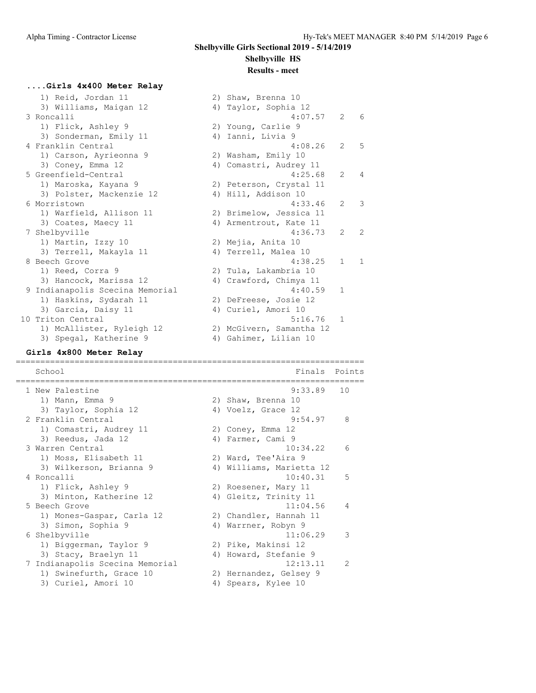4:07.57 2 6

 $4:08.26$  2 5

 $4:25.68$  2 4

6 Morristown 4:33.46 2 3

4:36.73 2 2

4:38.25 1 1

 $4:40.59$  1

 $5:16.76$  1

2) Shaw, Brenna 10 4) Taylor, Sophia 12

2) Washam, Emily 10 4) Comastri, Audrey 11

2) Peterson, Crystal 11 4) Hill, Addison 10

2) Brimelow, Jessica 11 4) Armentrout, Kate 11

2) Tula, Lakambria 10 4) Crawford, Chimya 11

2) DeFreese, Josie 12

2) McGivern, Samantha 12

# **....Girls 4x400 Meter Relay**

| 1) Reid, Jordan II              | 2) Shaw, Brenna 10     |
|---------------------------------|------------------------|
| 3) Williams, Maigan 12          | 4) Taylor, Sophia 12   |
| 3 Roncalli                      | 4:07.5                 |
| 1) Flick, Ashley 9              | 2) Young, Carlie 9     |
| 3) Sonderman, Emily 11          | 4) Ianni, Livia 9      |
| 4 Franklin Central              | 4:08.2                 |
| 1) Carson, Ayrieonna 9          | 2) Washam, Emily 10    |
| 3) Coney, Emma 12               | 4) Comastri, Audrey 11 |
| 5 Greenfield-Central            | 4:25.6                 |
| 1) Maroska, Kayana 9            | 2) Peterson, Crystal 1 |
| 3) Polster, Mackenzie 12        | 4) Hill, Addison 10    |
| 6 Morristown                    | 4:33.4                 |
| 1) Warfield, Allison 11         | 2) Brimelow, Jessica 1 |
| 3) Coates, Maecy 11             | 4) Armentrout, Kate 11 |
| 7 Shelbyville                   | 4:36.7                 |
| 1) Martin, Izzy 10              | 2) Mejia, Anita 10     |
| 3) Terrell, Makayla 11          | 4) Terrell, Malea 10   |
| 8 Beech Grove                   | 4:38.2                 |
| 1) Reed, Corra 9                | 2) Tula, Lakambria 10  |
| 3) Hancock, Marissa 12          | 4) Crawford, Chimya 11 |
| 9 Indianapolis Scecina Memorial | 4:40.5                 |
| 1) Haskins, Sydarah 11          | 2) DeFreese, Josie 12  |
| 3) Garcia, Daisy 11             | 4) Curiel, Amori 10    |
| 10 Triton Central               | 5:16.7                 |
| 1) McAllister, Ryleigh 12       | 2) McGivern, Samantha  |
| 3) Spegal, Katherine 9          | 4) Gahimer, Lilian 10  |

### **Girls 4x800 Meter Relay**

======================================================================= School **Finals Points** ======================================================================= 1 New Palestine 9:33.89 10 1) Mann, Emma 9 2) Shaw, Brenna 10 3) Taylor, Sophia 12 4) Voelz, Grace 12 2 Franklin Central 9:54.97 8 1) Comastri, Audrey 11  $\hspace{1.6cm}$  2) Coney, Emma 12 3) Reedus, Jada 12 4) Farmer, Cami 9 3 Warren Central 10:34.22 6 1) Moss, Elisabeth 11 2) Ward, Tee'Aira 9 3) Wilkerson, Brianna 9 4) Williams, Marietta 12 4 Roncalli 10:40.31 5 1) Flick, Ashley 9 2) Roesener, Mary 11 3) Minton, Katherine 12 (4) Gleitz, Trinity 11 5 Beech Grove 11:04.56 4 1) Mones-Gaspar, Carla 12 2) Chandler, Hannah 11 3) Simon, Sophia 9 4) Warrner, Robyn 9 6 Shelbyville 11:06.29 3 1) Biggerman, Taylor 9 2) Pike, Makinsi 12 3) Stacy, Braelyn 11 4) Howard, Stefanie 9 7 Indianapolis Scecina Memorial 12:13.11 2 1) Swinefurth, Grace 10 2) Hernandez, Gelsey 9 3) Curiel, Amori 10 (4) Spears, Kylee 10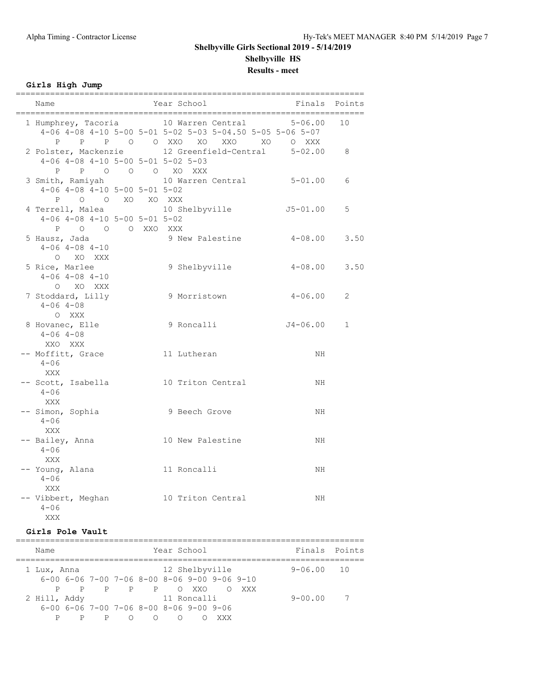**Results - meet**

## **Girls High Jump**

| Name                                                                             | Year School                                                                                                                                                          | Finals Points     |
|----------------------------------------------------------------------------------|----------------------------------------------------------------------------------------------------------------------------------------------------------------------|-------------------|
|                                                                                  | 1 Humphrey, Tacoria 10 Warren Central 5-06.00 10<br>$4-06$ $4-08$ $4-10$ $5-00$ $5-01$ $5-02$ $5-03$ $5-04.50$ $5-05$ $5-06$ $5-07$<br>P P P O O XXO XO XXO XO O XXX |                   |
| $4-06$ $4-08$ $4-10$ $5-00$ $5-01$ $5-02$ $5-03$<br>P P O O O XO XXX             | 2 Polster, Mackenzie 12 Greenfield-Central 5-02.00 8                                                                                                                 |                   |
| 3 Smith, Ramiyah<br>$4-06$ $4-08$ $4-10$ $5-00$ $5-01$ $5-02$<br>P O O XO XO XXX | 10 Warren Central 5-01.00                                                                                                                                            | 6                 |
| $4-06$ $4-08$ $4-10$ $5-00$ $5-01$ $5-02$<br>P O O O XXO XXX                     | 4 Terrell, Malea and 10 Shelbyville                                                                                                                                  | $J5 - 01.00$<br>5 |
| 5 Hausz, Jada<br>$4 - 06$ $4 - 08$ $4 - 10$<br>O XO XXX                          | 9 New Palestine                                                                                                                                                      | $4 - 08.00$ 3.50  |
| 5 Rice, Marlee<br>$4-06$ $4-08$ $4-10$<br>O XO XXX                               | 9 Shelbyville                                                                                                                                                        | $4 - 08.00$ 3.50  |
| 7 Stoddard, Lilly<br>$4 - 06$ $4 - 08$<br>O XXX                                  | 9 Morristown                                                                                                                                                         | $4 - 06.00$<br>2  |
| 8 Hovanec, Elle<br>$4 - 06$ $4 - 08$<br>XXO XXX                                  | 9 Roncalli J4-06.00                                                                                                                                                  | $\mathbf 1$       |
| -- Moffitt, Grace<br>$4 - 06$<br>XXX                                             | 11 Lutheran                                                                                                                                                          | ΝH                |
| $4 - 06$<br>XXX                                                                  | -- Scott, Isabella 10 Triton Central                                                                                                                                 | NH                |
| -- Simon, Sophia<br>$4 - 06$<br>XXX                                              | 9 Beech Grove                                                                                                                                                        | NH                |
| -- Bailey, Anna<br>$4 - 06$<br>XXX                                               | 10 New Palestine                                                                                                                                                     | NH                |
| -- Young, Alana<br>$4 - 06$<br>XXX                                               | 11 Roncalli                                                                                                                                                          | NH                |
| $4 - 06$<br>XXX                                                                  | -- Vibbert, Meghan 10 Triton Central                                                                                                                                 | NH                |

### **Girls Pole Vault**

| Name         |                |                                                                |           |   | Year School |                |            |       | Finals Points |                 |
|--------------|----------------|----------------------------------------------------------------|-----------|---|-------------|----------------|------------|-------|---------------|-----------------|
| 1 Lux, Anna  |                |                                                                |           |   |             | 12 Shelbyville |            |       | $9 - 06.00$   | $\overline{10}$ |
|              |                | $6-00$ $6-06$ $7-00$ $7-06$ $8-00$ $8-06$ $9-00$ $9-06$ $9-10$ |           |   |             |                |            |       |               |                 |
|              | $\overline{P}$ |                                                                | PPPP (XX) |   |             |                | $\bigcirc$ | XXX X |               |                 |
| 2 Hill, Addy |                |                                                                |           |   |             | 11 Roncalli    |            |       | $9 - 00.00$   |                 |
|              |                | $6-00$ $6-06$ $7-00$ $7-06$ $8-00$ $8-06$ $9-00$ $9-06$        |           |   |             |                |            |       |               |                 |
|              | P              | P                                                              | ∩         | ∩ | ∩           |                | XXX        |       |               |                 |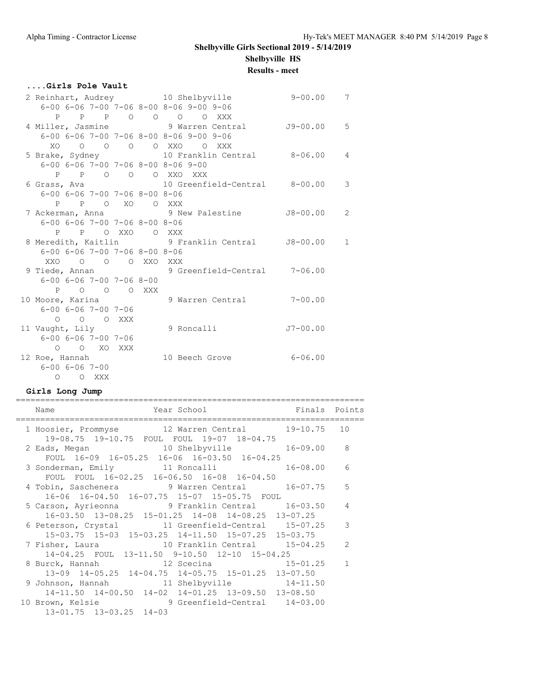### **Results - meet**

### **....Girls Pole Vault**

|                                                       |                   |  | 2 Reinhart, Audrey 10 Shelbyville                              | $9 - 00.00$ | $7\phantom{.0}$ |
|-------------------------------------------------------|-------------------|--|----------------------------------------------------------------|-------------|-----------------|
|                                                       |                   |  | $6-00$ $6-06$ $7-00$ $7-06$ $8-00$ $8-06$ $9-00$ $9-06$        |             |                 |
|                                                       |                   |  | P P P O O O O XXX                                              |             |                 |
|                                                       |                   |  | 4 Miller, Jasmine 9 Warren Central 59-00.00 5                  |             |                 |
|                                                       |                   |  | $6-00$ $6-06$ $7-00$ $7-06$ $8-00$ $8-06$ $9-00$ $9-06$        |             |                 |
|                                                       |                   |  | XO O O O O XXO O XXX                                           |             |                 |
|                                                       |                   |  | 5 Brake, Sydney 10 Franklin Central 8-06.00 4                  |             |                 |
|                                                       |                   |  | $6 - 00$ $6 - 06$ $7 - 00$ $7 - 06$ $8 - 00$ $8 - 06$ $9 - 00$ |             |                 |
|                                                       |                   |  | P P O O O XXO XXX                                              |             |                 |
|                                                       |                   |  |                                                                |             |                 |
| $6 - 00$ $6 - 06$ $7 - 00$ $7 - 06$ $8 - 00$ $8 - 06$ |                   |  |                                                                |             |                 |
|                                                       | P P O XO O XXX    |  |                                                                |             |                 |
|                                                       |                   |  | 7 Ackerman, Anna (2008) 9 New Palestine 38-00.00 2             |             |                 |
| $6 - 00$ $6 - 06$ $7 - 00$ $7 - 06$ $8 - 00$ $8 - 06$ |                   |  |                                                                |             |                 |
|                                                       | P P O XXO O XXX   |  |                                                                |             |                 |
|                                                       |                   |  | 8 Meredith, Kaitlin (9 Franklin Central 18-00.00 1             |             |                 |
| $6 - 00$ $6 - 06$ $7 - 00$ $7 - 06$ $8 - 00$ $8 - 06$ |                   |  |                                                                |             |                 |
|                                                       | XXO O O O XXO XXX |  |                                                                |             |                 |
|                                                       |                   |  | 9 Tiede, Annan 9 Greenfield-Central 7-06.00                    |             |                 |
| $6 - 00$ $6 - 06$ $7 - 00$ $7 - 06$ $8 - 00$          |                   |  |                                                                |             |                 |
|                                                       | P O O O XXX       |  |                                                                |             |                 |
| 10 Moore, Karina                                      |                   |  | 9 Warren Central 7-00.00                                       |             |                 |
| $6 - 00$ $6 - 06$ $7 - 00$ $7 - 06$                   |                   |  |                                                                |             |                 |
|                                                       | O O O XXX         |  |                                                                |             |                 |
| 11 Vaught, Lily                                       |                   |  | 9 Roncalli                                                     | $J7-00.00$  |                 |
| $6 - 00$ $6 - 06$ $7 - 00$ $7 - 06$                   |                   |  |                                                                |             |                 |
|                                                       | O O XO XXX        |  |                                                                |             |                 |
| 12 Roe, Hannah                                        |                   |  | 10 Beech Grove                                                 | $6 - 06.00$ |                 |
| $6 - 00$ $6 - 06$ $7 - 00$                            |                   |  |                                                                |             |                 |
|                                                       | O O XXX           |  |                                                                |             |                 |

### **Girls Long Jump**

| Finals Points<br>Year School<br>Name                                                                                                       |                |   |
|--------------------------------------------------------------------------------------------------------------------------------------------|----------------|---|
| 1 Hoosier, Prommyse 12 Warren Central 19-10.75 10                                                                                          |                |   |
| 19-08.75 19-10.75 FOUL FOUL 19-07 18-04.75<br>2 Eads, Megan 10 Shelbyville<br>FOUL 16-09 16-05.25 16-06 16-03.50 16-04.25                  | $16 - 09.00$ 8 |   |
| 3 Sonderman, Emily 11 Roncalli<br>FOUL FOUL 16-02.25 16-06.50 16-08 16-04.50                                                               | 16-08.00       | 6 |
| 4 Tobin, Saschenera 9 Warren Central 16-07.75<br>16-06 16-04.50 16-07.75 15-07 15-05.75 FOUL                                               |                | 5 |
| 5 Carson, Ayrieonna (2008) 9 Franklin Central (2008) 16-03.50                                                                              |                | 4 |
| 16-03.50 13-08.25 15-01.25 14-08 14-08.25 13-07.25<br>6 Peterson, Crystal 11 Greenfield-Central 15-07.25                                   |                | 3 |
| 15-03.75 15-03 15-03.25 14-11.50 15-07.25 15-03.75<br>7 Fisher, Laura                 10 Franklin Central       15-04.25                   |                | 2 |
| 14-04.25 FOUL 13-11.50 9-10.50 12-10 15-04.25<br>8 Burck, Hannah 12 Scecina 15-01.25<br>13-09 14-05.25 14-04.75 14-05.75 15-01.25 13-07.50 |                |   |
| 9 Johnson, Hannah 11 Shelbyville 14-11.50<br>14-11.50 14-00.50 14-02 14-01.25 13-09.50 13-08.50                                            |                |   |
| 10 Brown, Kelsie 3 Greenfield-Central 14-03.00<br>$13 - 01.75$ $13 - 03.25$ $14 - 03$                                                      |                |   |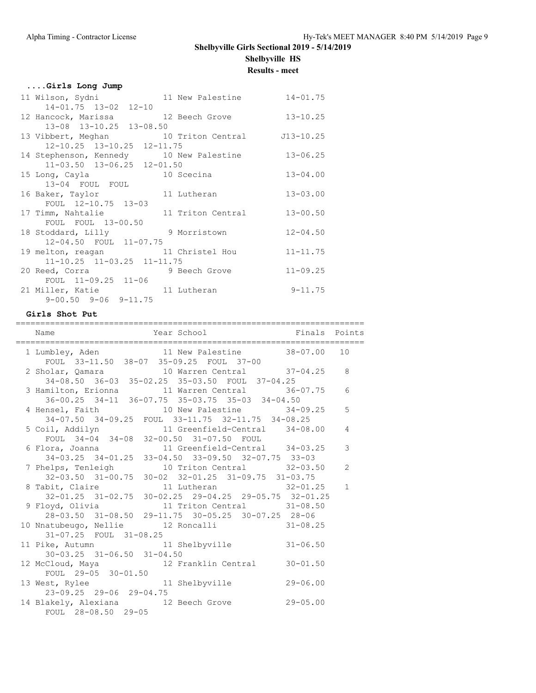**Results - meet**

|  | Girls Long Jump |  |  |
|--|-----------------|--|--|
|--|-----------------|--|--|

| 11 Wilson, Sydni               11 New Palestine           14-01.75 |              |
|--------------------------------------------------------------------|--------------|
| $14 - 01.75$ $13 - 02$ $12 - 10$                                   |              |
| 12 Hancock, Marissa 12 Beech Grove                                 | $13 - 10.25$ |
| 13-08 13-10.25 13-08.50                                            |              |
| 13 Vibbert, Meghan 10 Triton Central J13-10.25                     |              |
| 12-10.25 13-10.25 12-11.75                                         |              |
| 14 Stephenson, Kennedy 10 New Palestine 13-06.25                   |              |
| $11-03.50$ $13-06.25$ $12-01.50$                                   |              |
| 15 Long, Cayla 10 Scecina                                          | $13 - 04.00$ |
| 13-04 FOUL FOUL                                                    |              |
| 16 Baker, Taylor 11 Lutheran                                       | $13 - 03.00$ |
| FOUL 12-10.75 13-03                                                |              |
| 17 Timm, Nahtalie 11 Triton Central 13-00.50                       |              |
| FOUL FOUL 13-00.50                                                 |              |
| 18 Stoddard, Lilly 9 Morristown                                    | $12 - 04.50$ |
| 12-04.50 FOUL 11-07.75                                             |              |
| 19 melton, reagan 11 Christel Hou                                  | $11 - 11.75$ |
| $11-10.25$ $11-03.25$ $11-11.75$                                   |              |
| 20 Reed, Corra 30 9 Beech Grove                                    | $11 - 09.25$ |
| FOUL 11-09.25 11-06                                                |              |
| 21 Miller, Katie and 11 Lutheran                                   | $9 - 11.75$  |
| $9 - 00.50$ $9 - 06$ $9 - 11.75$                                   |              |

### **Girls Shot Put**

| Year School <a> Finals Points</a> Finals Points<br>Name                                                                                                   |   |
|-----------------------------------------------------------------------------------------------------------------------------------------------------------|---|
| 1 Lumbley, Aden 11 New Palestine 38-07.00 10<br>FOUL 33-11.50 38-07 35-09.25 FOUL 37-00                                                                   |   |
| 2 Sholar, Qamara 10 Warren Central 37-04.25 8<br>34-08.50 36-03 35-02.25 35-03.50 FOUL 37-04.25                                                           |   |
| 3 Hamilton, Erionna 11 Warren Central 36-07.75 6<br>36-00.25 34-11 36-07.75 35-03.75 35-03 34-04.50                                                       |   |
| 4 Hensel, Faith 10 New Palestine 34-09.25<br>34-07.50 34-09.25 FOUL 33-11.75 32-11.75 34-08.25                                                            | 5 |
| 5 Coil, Addilyn 11 Greenfield-Central 34-08.00<br>FOUL 34-04 34-08 32-00.50 31-07.50 FOUL                                                                 | 4 |
| 6 Flora, Joanna (11 Greenfield-Central 34-03.25<br>34-03.25 34-01.25 33-04.50 33-09.50 32-07.75 33-03                                                     | 3 |
| 7 Phelps, Tenleigh 10 Triton Central 32-03.50 2<br>$32-03.50$ $31-00.75$ $30-02$ $32-01.25$ $31-09.75$ $31-03.75$                                         |   |
| 8 Tabit, Claire 11 Lutheran 32-01.25 1                                                                                                                    |   |
| 32-01.25 31-02.75 30-02.25 29-04.25 29-05.75 32-01.25<br>9 Floyd, Olivia 11 Triton Central 31-08.50<br>28-03.50 31-08.50 29-11.75 30-05.25 30-07.25 28-06 |   |
| 10 Nnatubeugo, Nellie 12 Roncalli 31-08.25<br>31-07.25 FOUL 31-08.25                                                                                      |   |
| 11 Pike, Autumn 11 Shelbyville 31-06.50<br>$30 - 03.25$ $31 - 06.50$ $31 - 04.50$                                                                         |   |
| 12 McCloud, Maya 12 Franklin Central 30-01.50<br>FOUL $29-05$ 30-01.50                                                                                    |   |
| 13 West, Rylee 11 Shelbyville 29-06.00<br>23-09.25 29-06 29-04.75                                                                                         |   |
| 14 Blakely, Alexiana 12 Beech Grove 29-05.00<br>FOUL 28-08.50 29-05                                                                                       |   |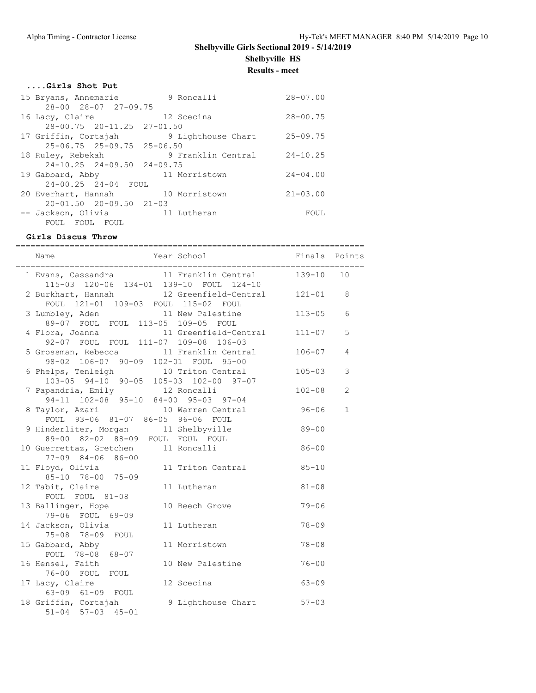**Results - meet**

|  |  | Girls Shot Put |  |
|--|--|----------------|--|
|  |  |                |  |

| 15 Bryans, Annemarie                   | 9 Roncalli         | $28 - 07.00$ |
|----------------------------------------|--------------------|--------------|
| $28 - 00$ $28 - 07$ $27 - 09$ , 75     |                    |              |
| 16 Lacy, Claire                        | 12 Scecina         | $28 - 00.75$ |
| 28-00.75 20-11.25 27-01.50             |                    |              |
| 17 Griffin, Cortajah                   | 9 Lighthouse Chart | $25 - 09.75$ |
| $25 - 06.75$ $25 - 09.75$ $25 - 06.50$ |                    |              |
| 18 Ruley, Rebekah                      | 9 Franklin Central | $24 - 10.25$ |
| $24-10.25$ $24-09.50$ $24-09.75$       |                    |              |
| 19 Gabbard, Abby                       | 11 Morristown      | $24 - 04.00$ |
| 24-00.25 24-04 FOUL                    |                    |              |
| 20 Everhart, Hannah 10 Morristown      |                    | $21 - 03.00$ |
| $20 - 01.50$ $20 - 09.50$ $21 - 03$    |                    |              |
| -- Jackson, Olivia                     | 11 Lutheran        | FOUL         |
| FOUL FOUL<br>FOUL                      |                    |              |

## **Girls Discus Throw**

| Name                                                                                                | Year School <a> Finals Points</a> |            |                |
|-----------------------------------------------------------------------------------------------------|-----------------------------------|------------|----------------|
| 1 Evans, Cassandra 11 Franklin Central 139-10<br>115-03 120-06 134-01 139-10 FOUL 124-10            |                                   |            | 10             |
| 2 Burkhart, Hannah 12 Greenfield-Central 121-01 8<br>FOUL 121-01 109-03 FOUL 115-02 FOUL            |                                   |            |                |
| 3 Lumbley, Aden 11 New Palestine<br>89-07 FOUL FOUL 113-05 109-05 FOUL                              |                                   | $113 - 05$ | 6              |
| 4 Flora, Joanna 11 Greenfield-Central 111-07<br>92-07 FOUL FOUL 111-07 109-08 106-03                |                                   |            | 5              |
| 5 Grossman, Rebecca 11 Franklin Central<br>98-02 106-07 90-09 102-01 FOUL 95-00                     |                                   | $106 - 07$ | $\overline{4}$ |
| 6 Phelps, Tenleigh<br>$103 - 05$ 94-10 90-05 105-03 102-00 97-07                                    | 10 Triton Central                 | $105 - 03$ | 3              |
| 7 Papandria, Emily 12 Roncalli<br>$94-11$ 102-08 95-10 84-00 95-03 97-04                            |                                   | $102 - 08$ | $\overline{2}$ |
| 8 Taylor, Azari 10 Warren Central 96-06<br>FOUL 93-06 81-07 86-05 96-06 FOUL                        |                                   |            | $\mathbf{1}$   |
| 9 Hinderliter, Morgan 11 Shelbyville 89-00<br>nderliter, morgan<br>89-00 82-02 88-09 FOUL FOUL FOUL |                                   |            |                |
| 10 Guerrettaz, Gretchen 11 Roncalli<br>$77 - 09$ $84 - 06$ $86 - 00$                                |                                   | $86 - 00$  |                |
| 11 Floyd, Olivia<br>$85 - 10$ $78 - 00$ $75 - 09$                                                   | 11 Triton Central 85-10           |            |                |
| 12 Tabit, Claire<br>FOUL FOUL 81-08                                                                 | 11 Lutheran                       | $81 - 08$  |                |
| 13 Ballinger, Hope<br>79-06 FOUL 69-09                                                              | 10 Beech Grove                    | $79 - 06$  |                |
| 14 Jackson, Olivia<br>75-08 78-09 FOUL                                                              | 11 Lutheran                       | $78 - 09$  |                |
| 15 Gabbard, Abby<br>FOUL 78-08 68-07                                                                | 11 Morristown                     | $78 - 08$  |                |
| 16 Hensel, Faith<br>76-00 FOUL FOUL                                                                 | 10 New Palestine                  | $76 - 00$  |                |
| 17 Lacy, Claire<br>63-09 61-09 FOUL                                                                 | $63 - 09$<br>12 Scecina           |            |                |
| 18 Griffin, Cortajah<br>$51 - 04$ $57 - 03$ $45 - 01$                                               | 9 Lighthouse Chart 57-03          |            |                |